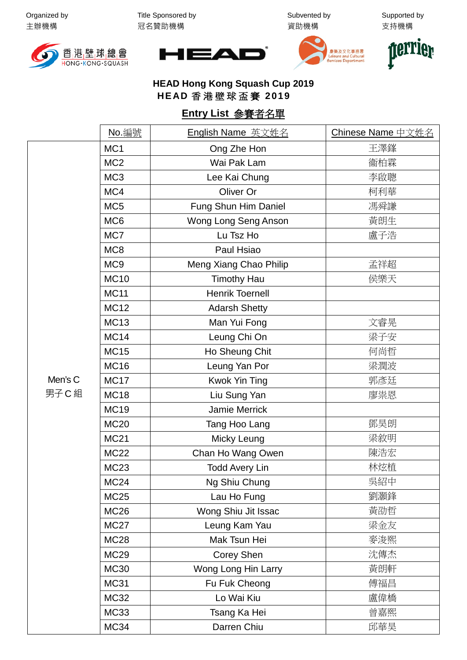Organized by 主辦機構

Title Sponsored by 冠名贊助機構

Subvented by 資助機構

Supported by 支持機構









## **HEAD Hong Kong Squash Cup 2019 HEAD** 香港壁球盃賽 **2019**

## **Entry List** 參賽者名單

|                 | No. 編號          | English Name 英文姓名      | Chinese Name 中文姓名 |
|-----------------|-----------------|------------------------|-------------------|
|                 | MC <sub>1</sub> | Ong Zhe Hon            | 王澤鎽               |
|                 | MC <sub>2</sub> | Wai Pak Lam            | 衞柏霖               |
|                 | MC <sub>3</sub> | Lee Kai Chung          | 李啟聰               |
|                 | MC4             | Oliver Or              | 柯利華               |
|                 | MC <sub>5</sub> | Fung Shun Him Daniel   | 馮舜謙               |
|                 | MC <sub>6</sub> | Wong Long Seng Anson   | 黃朗生               |
|                 | MC7             | Lu Tsz Ho              | 盧子浩               |
|                 | MC8             | Paul Hsiao             |                   |
|                 | MC <sub>9</sub> | Meng Xiang Chao Philip | 孟祥超               |
|                 | <b>MC10</b>     | <b>Timothy Hau</b>     | 侯樂天               |
|                 | <b>MC11</b>     | <b>Henrik Toernell</b> |                   |
|                 | <b>MC12</b>     | <b>Adarsh Shetty</b>   |                   |
|                 | <b>MC13</b>     | Man Yui Fong           | 文睿晃               |
|                 | <b>MC14</b>     | Leung Chi On           | 梁子安               |
|                 | <b>MC15</b>     | Ho Sheung Chit         | 何尚哲               |
|                 | <b>MC16</b>     | Leung Yan Por          | 梁潤波               |
| Men's C<br>男子C組 | <b>MC17</b>     | Kwok Yin Ting          | 郭彥廷               |
|                 | <b>MC18</b>     | Liu Sung Yan           | 廖祟恩               |
|                 | <b>MC19</b>     | Jamie Merrick          |                   |
|                 | <b>MC20</b>     | Tang Hoo Lang          | 鄧昊朗               |
|                 | <b>MC21</b>     | Micky Leung            | 梁敘明               |
|                 | <b>MC22</b>     | Chan Ho Wang Owen      | 陳浩宏               |
|                 | <b>MC23</b>     | <b>Todd Avery Lin</b>  | 林炫植               |
|                 | <b>MC24</b>     | Ng Shiu Chung          | 吳紹中               |
|                 | <b>MC25</b>     | Lau Ho Fung            | 劉灝鋒               |
|                 | <b>MC26</b>     | Wong Shiu Jit Issac    | 黃劭哲               |
|                 | <b>MC27</b>     | Leung Kam Yau          | 梁金友               |
|                 | <b>MC28</b>     | Mak Tsun Hei           | 麥浚熙               |
|                 | <b>MC29</b>     | Corey Shen             | 沈傳杰               |
|                 | <b>MC30</b>     | Wong Long Hin Larry    | 黃朗軒               |
|                 | <b>MC31</b>     | Fu Fuk Cheong          | 傅福昌               |
|                 | <b>MC32</b>     | Lo Wai Kiu             | 盧偉橋               |
|                 | <b>MC33</b>     | Tsang Ka Hei           | 曾嘉熙               |
|                 | MC34            | Darren Chiu            | 邱華昊               |